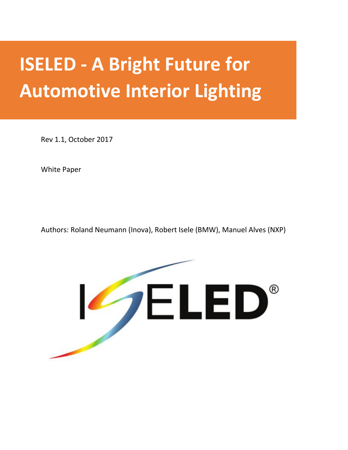# **ISELED - A Bright Future for Automotive Interior Lighting**

Rev 1.1, October 2017

White Paper

Authors: Roland Neumann (Inova), Robert Isele (BMW), Manuel Alves (NXP)

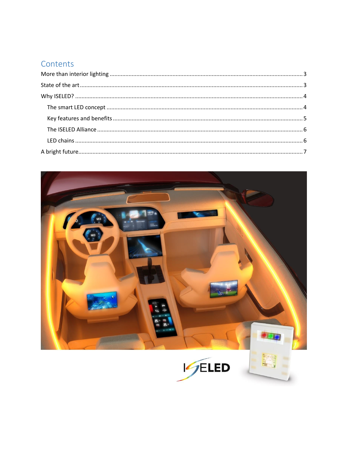## Contents

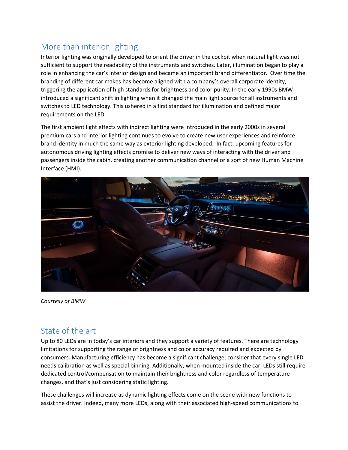## <span id="page-2-0"></span>More than interior lighting

Interior lighting was originally developed to orient the driver in the cockpit when natural light was not sufficient to support the readability of the instruments and switches. Later, illumination began to play a role in enhancing the car's interior design and became an important brand differentiator. Over time the branding of different car makes has become aligned with a company's overall corporate identity, triggering the application of high standards for brightness and color purity. In the early 1990s BMW introduced a significant shift in lighting when it changed the main light source for all instruments and switches to LED technology. This ushered in a first standard for illumination and defined major requirements on the LED.

The first ambient light effects with indirect lighting were introduced in the early 2000s in several premium cars and interior lighting continues to evolve to create new user experiences and reinforce brand identity in much the same way as exterior lighting developed. In fact, upcoming features for autonomous driving lighting effects promise to deliver new ways of interacting with the driver and passengers inside the cabin, creating another communication channel or a sort of new Human Machine Interface (HMI).



*Courtesy of BMW*

## <span id="page-2-1"></span>State of the art

Up to 80 LEDs are in today's car interiors and they support a variety of features. There are technology limitations for supporting the range of brightness and color accuracy required and expected by consumers. Manufacturing efficiency has become a significant challenge; consider that every single LED needs calibration as well as special binning. Additionally, when mounted inside the car, LEDs still require dedicated control/compensation to maintain their brightness and color regardless of temperature changes, and that's just considering static lighting.

These challenges will increase as dynamic lighting effects come on the scene with new functions to assist the driver. Indeed, many more LEDs, along with their associated high-speed communications to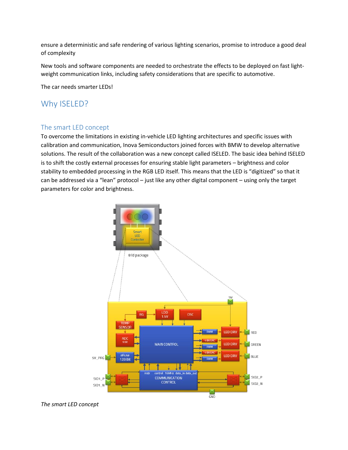ensure a deterministic and safe rendering of various lighting scenarios, promise to introduce a good deal of complexity

New tools and software components are needed to orchestrate the effects to be deployed on fast lightweight communication links, including safety considerations that are specific to automotive.

The car needs smarter LEDs!

### <span id="page-3-0"></span>Why ISELED?

#### <span id="page-3-1"></span>The smart LED concept

To overcome the limitations in existing in-vehicle LED lighting architectures and specific issues with calibration and communication, Inova Semiconductors joined forces with BMW to develop alternative solutions. The result of the collaboration was a new concept called ISELED. The basic idea behind ISELED is to shift the costly external processes for ensuring stable light parameters – brightness and color stability to embedded processing in the RGB LED itself. This means that the LED is "digitized" so that it can be addressed via a "lean" protocol – just like any other digital component – using only the target parameters for color and brightness.



*The smart LED concept*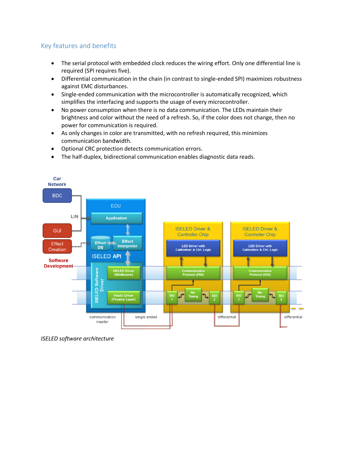#### <span id="page-4-0"></span>Key features and benefits

- The serial protocol with embedded clock reduces the wiring effort. Only one differential line is required (SPI requires five).
- Differential communication in the chain (in contrast to single-ended SPI) maximizes robustness against EMC disturbances.
- Single-ended communication with the microcontroller is automatically recognized, which simplifies the interfacing and supports the usage of every microcontroller.
- No power consumption when there is no data communication. The LEDs maintain their brightness and color without the need of a refresh. So, if the color does not change, then no power for communication is required.
- As only changes in color are transmitted, with no refresh required, this minimizes communication bandwidth.
- Optional CRC protection detects communication errors.
- The half-duplex, bidirectional communication enables diagnostic data reads.



*ISELED software architecture*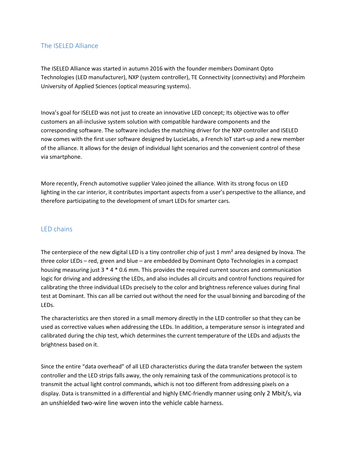#### <span id="page-5-0"></span>The ISELED Alliance

The ISELED Alliance was started in autumn 2016 with the founder members Dominant Opto Technologies (LED manufacturer), NXP (system controller), TE Connectivity (connectivity) and Pforzheim University of Applied Sciences (optical measuring systems).

Inova's goal for ISELED was not just to create an innovative LED concept; Its objective was to offer customers an all-inclusive system solution with compatible hardware components and the corresponding software. The software includes the matching driver for the NXP controller and ISELED now comes with the first user software designed by LucieLabs, a French IoT start-up and a new member of the alliance. It allows for the design of individual light scenarios and the convenient control of these via smartphone.

More recently, French automotive supplier Valeo joined the alliance. With its strong focus on LED lighting in the car interior, it contributes important aspects from a user's perspective to the alliance, and therefore participating to the development of smart LEDs for smarter cars.

#### <span id="page-5-1"></span>LED chains

The centerpiece of the new digital LED is a tiny controller chip of just 1 mm<sup>2</sup> area designed by Inova. The three color LEDs – red, green and blue – are embedded by Dominant Opto Technologies in a compact housing measuring just 3 \* 4 \* 0.6 mm. This provides the required current sources and communication logic for driving and addressing the LEDs, and also includes all circuits and control functions required for calibrating the three individual LEDs precisely to the color and brightness reference values during final test at Dominant. This can all be carried out without the need for the usual binning and barcoding of the LEDs.

The characteristics are then stored in a small memory directly in the LED controller so that they can be used as corrective values when addressing the LEDs. In addition, a temperature sensor is integrated and calibrated during the chip test, which determines the current temperature of the LEDs and adjusts the brightness based on it.

Since the entire "data overhead" of all LED characteristics during the data transfer between the system controller and the LED strips falls away, the only remaining task of the communications protocol is to transmit the actual light control commands, which is not too different from addressing pixels on a display. Data is transmitted in a differential and highly EMC-friendly manner using only 2 Mbit/s, via an unshielded two-wire line woven into the vehicle cable harness.